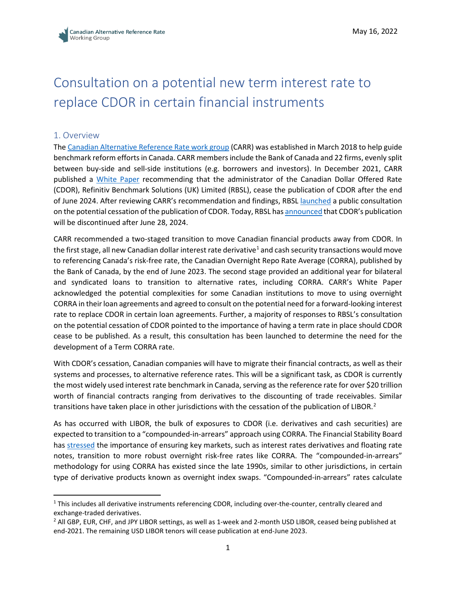# Consultation on a potential new term interest rate to replace CDOR in certain financial instruments

# 1. Overview

The [Canadian Alternative Reference Rate work group](https://www.bankofcanada.ca/markets/canadian-alternative-reference-rate-working-group/corra-advisory-group/) (CARR) was established in March 2018 to help guide benchmark reform efforts in Canada. CARR members include the Bank of Canada and 22 firms, evenly split between buy-side and sell-side institutions (e.g. borrowers and investors). In December 2021, CARR published a [White Paper](https://www.bankofcanada.ca/2021/12/carr-publishes-white-paper-recommended-future-cdor/) recommending that the administrator of the Canadian Dollar Offered Rate (CDOR), Refinitiv Benchmark Solutions (UK) Limited (RBSL), cease the publication of CDOR after the end of June 2024. After reviewing CARR's recommendation and findings, RBSL [launched](https://www.refinitiv.com/en/media-center/press-releases/2022/january/refinitiv-launches-public-consultation-on-the-potential-cessation-of-cdor) a public consultation on the potential cessation of the publication of CDOR. Today, RBSL ha[s announced](https://www.refinitiv.com/content/dam/marketing/en_us/documents/methodology/cdor-cessation-notice.pdf) that CDOR's publication will be discontinued after June 28, 2024.

CARR recommended a two-staged transition to move Canadian financial products away from CDOR. In the first stage, all new Canadian dollar interest rate derivative<sup>[1](#page-0-0)</sup> and cash security transactions would move to referencing Canada's risk-free rate, the Canadian Overnight Repo Rate Average (CORRA), published by the Bank of Canada, by the end of June 2023. The second stage provided an additional year for bilateral and syndicated loans to transition to alternative rates, including CORRA. CARR's White Paper acknowledged the potential complexities for some Canadian institutions to move to using overnight CORRA in their loan agreements and agreed to consult on the potential need for a forward-looking interest rate to replace CDOR in certain loan agreements. Further, a majority of responses to RBSL's consultation on the potential cessation of CDOR pointed to the importance of having a term rate in place should CDOR cease to be published. As a result, this consultation has been launched to determine the need for the development of a Term CORRA rate.

With CDOR's cessation, Canadian companies will have to migrate their financial contracts, as well as their systems and processes, to alternative reference rates. This will be a significant task, as CDOR is currently the most widely used interest rate benchmark in Canada, serving as the reference rate for over \$20 trillion worth of financial contracts ranging from derivatives to the discounting of trade receivables. Similar transitions have taken place in other jurisdictions with the cessation of the publication of LIBOR.<sup>[2](#page-0-1)</sup>

As has occurred with LIBOR, the bulk of exposures to CDOR (i.e. derivatives and cash securities) are expected to transition to a "compounded-in-arrears" approach using CORRA. The Financial Stability Board has [stressed](https://www.fsb.org/2021/06/interest-rate-benchmark-reform-overnight-risk-free-rates-and-term-rates-2/) the importance of ensuring key markets, such as interest rates derivatives and floating rate notes, transition to more robust overnight risk-free rates like CORRA. The "compounded-in-arrears" methodology for using CORRA has existed since the late 1990s, similar to other jurisdictions, in certain type of derivative products known as overnight index swaps. "Compounded-in-arrears" rates calculate

<span id="page-0-0"></span><sup>1</sup> This includes all derivative instruments referencing CDOR, including over-the-counter, centrally cleared and exchange-traded derivatives.<br><sup>2</sup> All GBP, EUR, CHF, and JPY LIBOR settings, as well as 1-week and 2-month USD LIBOR, ceased being published at

<span id="page-0-1"></span>end-2021. The remaining USD LIBOR tenors will cease publication at end-June 2023.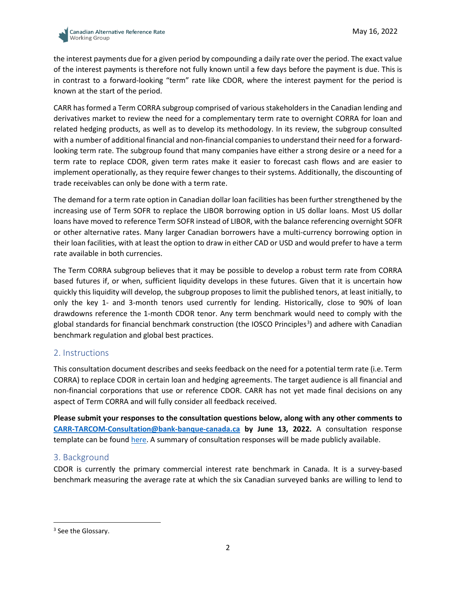

the interest payments due for a given period by compounding a daily rate over the period. The exact value of the interest payments is therefore not fully known until a few days before the payment is due. This is in contrast to a forward-looking "term" rate like CDOR, where the interest payment for the period is known at the start of the period.

CARR has formed a Term CORRA subgroup comprised of various stakeholders in the Canadian lending and derivatives market to review the need for a complementary term rate to overnight CORRA for loan and related hedging products, as well as to develop its methodology. In its review, the subgroup consulted with a number of additional financial and non-financial companies to understand their need for a forwardlooking term rate. The subgroup found that many companies have either a strong desire or a need for a term rate to replace CDOR, given term rates make it easier to forecast cash flows and are easier to implement operationally, as they require fewer changes to their systems. Additionally, the discounting of trade receivables can only be done with a term rate.

The demand for a term rate option in Canadian dollar loan facilities has been further strengthened by the increasing use of Term SOFR to replace the LIBOR borrowing option in US dollar loans. Most US dollar loans have moved to reference Term SOFR instead of LIBOR, with the balance referencing overnight SOFR or other alternative rates. Many larger Canadian borrowers have a multi-currency borrowing option in their loan facilities, with at least the option to draw in either CAD or USD and would prefer to have a term rate available in both currencies.

The Term CORRA subgroup believes that it may be possible to develop a robust term rate from CORRA based futures if, or when, sufficient liquidity develops in these futures. Given that it is uncertain how quickly this liquidity will develop, the subgroup proposes to limit the published tenors, at least initially, to only the key 1- and 3-month tenors used currently for lending. Historically, close to 90% of loan drawdowns reference the 1-month CDOR tenor. Any term benchmark would need to comply with the global standards for financial benchmark construction (the IOSCO Principles<sup>[3](#page-1-0)</sup>) and adhere with Canadian benchmark regulation and global best practices.

#### 2. Instructions

This consultation document describes and seeks feedback on the need for a potential term rate (i.e. Term CORRA) to replace CDOR in certain loan and hedging agreements. The target audience is all financial and non-financial corporations that use or reference CDOR. CARR has not yet made final decisions on any aspect of Term CORRA and will fully consider all feedback received.

**Please submit your responses to the consultation questions below, along with any other comments to [CARR-TARCOM-Consultation@bank-banque-canada.ca](mailto:CARR-TARCOM-Consultation@bank-banque-canada.ca) by June 13, 2022.** A consultation response template can be found [here.](https://www.bankofcanada.ca/?p=226638) A summary of consultation responses will be made publicly available.

#### 3. Background

CDOR is currently the primary commercial interest rate benchmark in Canada. It is a survey-based benchmark measuring the average rate at which the six Canadian surveyed banks are willing to lend to

<span id="page-1-0"></span><sup>&</sup>lt;sup>3</sup> See the Glossary.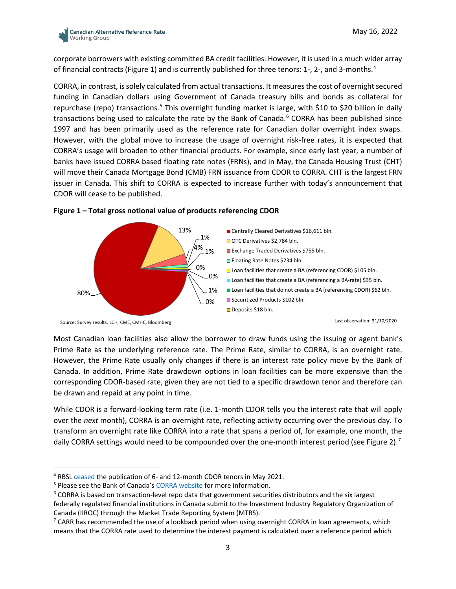

corporate borrowers with existing committed BA credit facilities. However, it is used in a much wider array of financial contracts (Figure 1) and is currently published for three tenors: 1-, 2-, and 3-months[.4](#page-2-0)

CORRA, in contrast, is solely calculated from actual transactions. It measures the cost of overnight secured funding in Canadian dollars using Government of Canada treasury bills and bonds as collateral for repurchase (repo) transactions.<sup>[5](#page-2-1)</sup> This overnight funding market is large, with \$10 to \$20 billion in daily transactions being used to calculate the rate by the Bank of Canada. [6](#page-2-2) CORRA has been published since 1997 and has been primarily used as the reference rate for Canadian dollar overnight index swaps. However, with the global move to increase the usage of overnight risk-free rates, it is expected that CORRA's usage will broaden to other financial products. For example, since early last year, a number of banks have issued CORRA based floating rate notes (FRNs), and in May, the Canada Housing Trust (CHT) will move their Canada Mortgage Bond (CMB) FRN issuance from CDOR to CORRA. CHT is the largest FRN issuer in Canada. This shift to CORRA is expected to increase further with today's announcement that CDOR will cease to be published.



#### **Figure 1 – Total gross notional value of products referencing CDOR**

Most Canadian loan facilities also allow the borrower to draw funds using the issuing or agent bank's Prime Rate as the underlying reference rate. The Prime Rate, similar to CORRA, is an overnight rate. However, the Prime Rate usually only changes if there is an interest rate policy move by the Bank of Canada. In addition, Prime Rate drawdown options in loan facilities can be more expensive than the corresponding CDOR-based rate, given they are not tied to a specific drawdown tenor and therefore can be drawn and repaid at any point in time.

While CDOR is a forward-looking term rate (i.e. 1-month CDOR tells you the interest rate that will apply over the *next* month), CORRA is an overnight rate, reflecting activity occurring over the previous day. To transform an overnight rate like CORRA into a rate that spans a period of, for example, one month, the daily CORRA settings would need to be compounded over the one-month interest period (see Figure 2).<sup>[7](#page-2-3)</sup>

<span id="page-2-0"></span><sup>4</sup> RBS[L ceased](https://www.refinitiv.com/en/media-center/press-releases/2020/november/refinitiv-publishes-consultation-summary-cdor-benchmark) the publication of 6- and 12-month CDOR tenors in May 2021.

<span id="page-2-1"></span><sup>&</sup>lt;sup>5</sup> Please see the Bank of Canada'[s CORRA website](https://www.bankofcanada.ca/rates/interest-rates/corra/) for more information.

<span id="page-2-2"></span> $6$  CORRA is based on transaction-level repo data that government securities distributors and the six largest federally regulated financial institutions in Canada submit to the Investment Industry Regulatory Organization of Canada (IIROC) through the Market Trade Reporting System (MTRS).

<span id="page-2-3"></span><sup>&</sup>lt;sup>7</sup> CARR has recommended the use of a lookback period when using overnight CORRA in loan agreements, which means that the CORRA rate used to determine the interest payment is calculated over a reference period which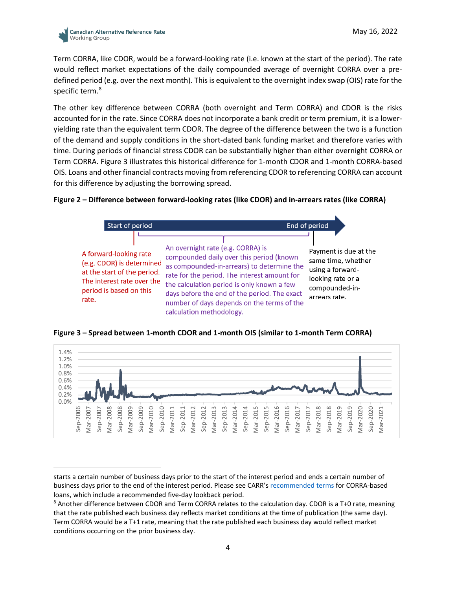

Term CORRA, like CDOR, would be a forward-looking rate (i.e. known at the start of the period). The rate would reflect market expectations of the daily compounded average of overnight CORRA over a predefined period (e.g. over the next month). This is equivalent to the overnight index swap (OIS) rate for the specific term.<sup>[8](#page-3-0)</sup>

The other key difference between CORRA (both overnight and Term CORRA) and CDOR is the risks accounted for in the rate. Since CORRA does not incorporate a bank credit or term premium, it is a loweryielding rate than the equivalent term CDOR. The degree of the difference between the two is a function of the demand and supply conditions in the short-dated bank funding market and therefore varies with time. During periods of financial stress CDOR can be substantially higher than either overnight CORRA or Term CORRA. Figure 3 illustrates this historical difference for 1-month CDOR and 1-month CORRA-based OIS. Loans and other financial contracts moving from referencing CDOR to referencing CORRA can account for this difference by adjusting the borrowing spread.

#### **Figure 2 – Difference between forward-looking rates (like CDOR) and in-arrears rates (like CORRA)**







starts a certain number of business days prior to the start of the interest period and ends a certain number of business days prior to the end of the interest period. Please see CARR's [recommended terms](https://www.bankofcanada.ca/wp-content/uploads/2021/11/recommended-terms-for-CORRA-based-loans-nov-2021.pdf) for CORRA-based loans, which include a recommended five-day lookback period.

<span id="page-3-0"></span><sup>8</sup> Another difference between CDOR and Term CORRA relates to the calculation day. CDOR is a T+0 rate, meaning that the rate published each business day reflects market conditions at the time of publication (the same day). Term CORRA would be a T+1 rate, meaning that the rate published each business day would reflect market conditions occurring on the prior business day.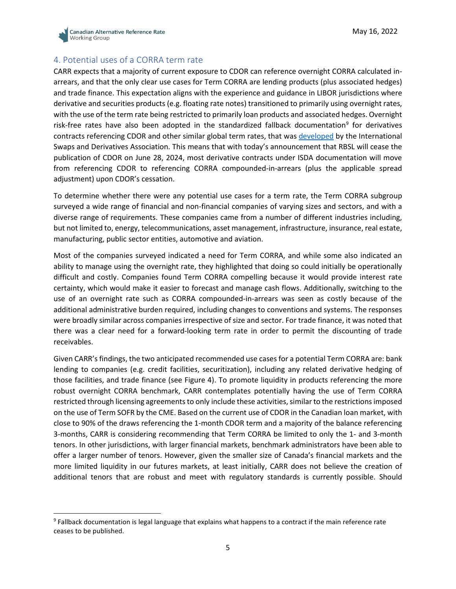

# 4. Potential uses of a CORRA term rate

CARR expects that a majority of current exposure to CDOR can reference overnight CORRA calculated inarrears, and that the only clear use cases for Term CORRA are lending products (plus associated hedges) and trade finance. This expectation aligns with the experience and guidance in LIBOR jurisdictions where derivative and securities products (e.g. floating rate notes) transitioned to primarily using overnight rates, with the use of the term rate being restricted to primarily loan products and associated hedges. Overnight risk-free rates have also been adopted in the standardized fallback documentation<sup>[9](#page-4-0)</sup> for derivatives contracts referencing CDOR and other similar global term rates, that was [developed](https://www.isda.org/2020/10/23/isda-launches-ibor-fallbacks-supplement-and-protocol/) by the International Swaps and Derivatives Association. This means that with today's announcement that RBSL will cease the publication of CDOR on June 28, 2024, most derivative contracts under ISDA documentation will move from referencing CDOR to referencing CORRA compounded-in-arrears (plus the applicable spread adjustment) upon CDOR's cessation.

To determine whether there were any potential use cases for a term rate, the Term CORRA subgroup surveyed a wide range of financial and non-financial companies of varying sizes and sectors, and with a diverse range of requirements. These companies came from a number of different industries including, but not limited to, energy, telecommunications, asset management, infrastructure, insurance, real estate, manufacturing, public sector entities, automotive and aviation.

Most of the companies surveyed indicated a need for Term CORRA, and while some also indicated an ability to manage using the overnight rate, they highlighted that doing so could initially be operationally difficult and costly. Companies found Term CORRA compelling because it would provide interest rate certainty, which would make it easier to forecast and manage cash flows. Additionally, switching to the use of an overnight rate such as CORRA compounded-in-arrears was seen as costly because of the additional administrative burden required, including changes to conventions and systems. The responses were broadly similar across companies irrespective of size and sector. For trade finance, it was noted that there was a clear need for a forward-looking term rate in order to permit the discounting of trade receivables.

Given CARR's findings, the two anticipated recommended use cases for a potential Term CORRA are: bank lending to companies (e.g. credit facilities, securitization), including any related derivative hedging of those facilities, and trade finance (see Figure 4). To promote liquidity in products referencing the more robust overnight CORRA benchmark, CARR contemplates potentially having the use of Term CORRA restricted through licensing agreements to only include these activities, similar to the restrictions imposed on the use of Term SOFR by the CME. Based on the current use of CDOR in the Canadian loan market, with close to 90% of the draws referencing the 1-month CDOR term and a majority of the balance referencing 3-months, CARR is considering recommending that Term CORRA be limited to only the 1- and 3-month tenors. In other jurisdictions, with larger financial markets, benchmark administrators have been able to offer a larger number of tenors. However, given the smaller size of Canada's financial markets and the more limited liquidity in our futures markets, at least initially, CARR does not believe the creation of additional tenors that are robust and meet with regulatory standards is currently possible. Should

<span id="page-4-0"></span><sup>9</sup> Fallback documentation is legal language that explains what happens to a contract if the main reference rate ceases to be published.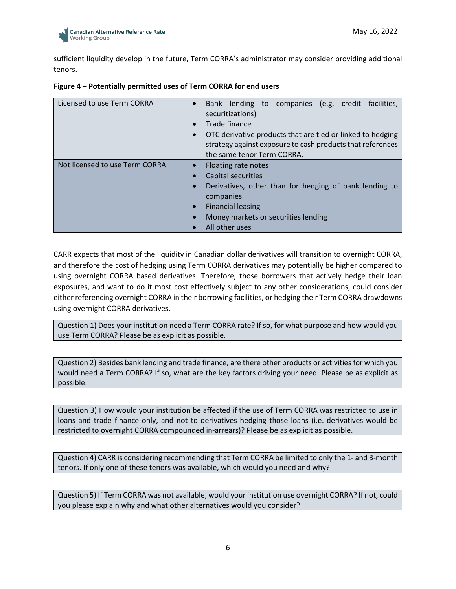

sufficient liquidity develop in the future, Term CORRA's administrator may consider providing additional tenors.

| Licensed to use Term CORRA     | Bank lending to companies (e.g. credit facilities,<br>$\bullet$<br>securitizations)<br>Trade finance<br>OTC derivative products that are tied or linked to hedging<br>$\bullet$<br>strategy against exposure to cash products that references |
|--------------------------------|-----------------------------------------------------------------------------------------------------------------------------------------------------------------------------------------------------------------------------------------------|
|                                | the same tenor Term CORRA.                                                                                                                                                                                                                    |
| Not licensed to use Term CORRA | Floating rate notes<br>Capital securities                                                                                                                                                                                                     |
|                                | Derivatives, other than for hedging of bank lending to<br>$\bullet$<br>companies                                                                                                                                                              |
|                                | <b>Financial leasing</b>                                                                                                                                                                                                                      |
|                                | Money markets or securities lending<br>$\bullet$                                                                                                                                                                                              |
|                                | All other uses                                                                                                                                                                                                                                |

|  |  | Figure 4 - Potentially permitted uses of Term CORRA for end users |
|--|--|-------------------------------------------------------------------|
|--|--|-------------------------------------------------------------------|

CARR expects that most of the liquidity in Canadian dollar derivatives will transition to overnight CORRA, and therefore the cost of hedging using Term CORRA derivatives may potentially be higher compared to using overnight CORRA based derivatives. Therefore, those borrowers that actively hedge their loan exposures, and want to do it most cost effectively subject to any other considerations, could consider either referencing overnight CORRA in their borrowing facilities, or hedging their Term CORRA drawdowns using overnight CORRA derivatives.

Question 1) Does your institution need a Term CORRA rate? If so, for what purpose and how would you use Term CORRA? Please be as explicit as possible.

Question 2) Besides bank lending and trade finance, are there other products or activities for which you would need a Term CORRA? If so, what are the key factors driving your need. Please be as explicit as possible.

Question 3) How would your institution be affected if the use of Term CORRA was restricted to use in loans and trade finance only, and not to derivatives hedging those loans (i.e. derivatives would be restricted to overnight CORRA compounded in-arrears)? Please be as explicit as possible.

Question 4) CARR is considering recommending that Term CORRA be limited to only the 1- and 3-month tenors. If only one of these tenors was available, which would you need and why?

Question 5) If Term CORRA was not available, would your institution use overnight CORRA? If not, could you please explain why and what other alternatives would you consider?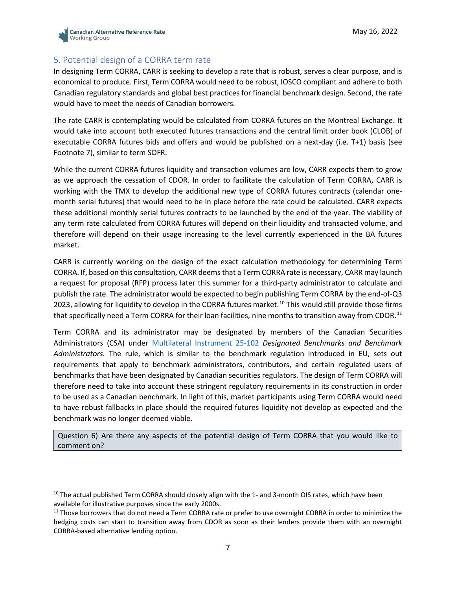

# 5. Potential design of a CORRA term rate

In designing Term CORRA, CARR is seeking to develop a rate that is robust, serves a clear purpose, and is economical to produce. First, Term CORRA would need to be robust, IOSCO compliant and adhere to both Canadian regulatory standards and global best practices for financial benchmark design. Second, the rate would have to meet the needs of Canadian borrowers.

The rate CARR is contemplating would be calculated from CORRA futures on the Montreal Exchange. It would take into account both executed futures transactions and the central limit order book (CLOB) of executable CORRA futures bids and offers and would be published on a next-day (i.e. T+1) basis (see Footnote 7), similar to term SOFR.

While the current CORRA futures liquidity and transaction volumes are low, CARR expects them to grow as we approach the cessation of CDOR. In order to facilitate the calculation of Term CORRA, CARR is working with the TMX to develop the additional new type of CORRA futures contracts (calendar onemonth serial futures) that would need to be in place before the rate could be calculated. CARR expects these additional monthly serial futures contracts to be launched by the end of the year. The viability of any term rate calculated from CORRA futures will depend on their liquidity and transacted volume, and therefore will depend on their usage increasing to the level currently experienced in the BA futures market.

CARR is currently working on the design of the exact calculation methodology for determining Term CORRA. If, based on this consultation, CARR deems that a Term CORRA rate is necessary, CARR may launch a request for proposal (RFP) process later this summer for a third-party administrator to calculate and publish the rate. The administrator would be expected to begin publishing Term CORRA by the end-of-Q3 2023, allowing for liquidity to develop in the CORRA futures market.<sup>[10](#page-6-0)</sup> This would still provide those firms that specifically need a Term CORRA for their loan facilities, nine months to transition away from CDOR.<sup>[11](#page-6-1)</sup>

Term CORRA and its administrator may be designated by members of the Canadian Securities Administrators (CSA) under [Multilateral Instrument 25-102](https://www.osc.ca/en/securities-law/instruments-rules-policies/2/25-102) *Designated Benchmarks and Benchmark Administrators.* The rule, which is similar to the benchmark regulation introduced in EU, sets out requirements that apply to benchmark administrators, contributors, and certain regulated users of benchmarks that have been designated by Canadian securities regulators. The design of Term CORRA will therefore need to take into account these stringent regulatory requirements in its construction in order to be used as a Canadian benchmark. In light of this, market participants using Term CORRA would need to have robust fallbacks in place should the required futures liquidity not develop as expected and the benchmark was no longer deemed viable.

Question 6) Are there any aspects of the potential design of Term CORRA that you would like to comment on?

<span id="page-6-0"></span> $10$  The actual published Term CORRA should closely align with the 1- and 3-month OIS rates, which have been available for illustrative purposes since the early 2000s.

<span id="page-6-1"></span><sup>&</sup>lt;sup>11</sup> Those borrowers that do not need a Term CORRA rate or prefer to use overnight CORRA in order to minimize the hedging costs can start to transition away from CDOR as soon as their lenders provide them with an overnight CORRA-based alternative lending option.